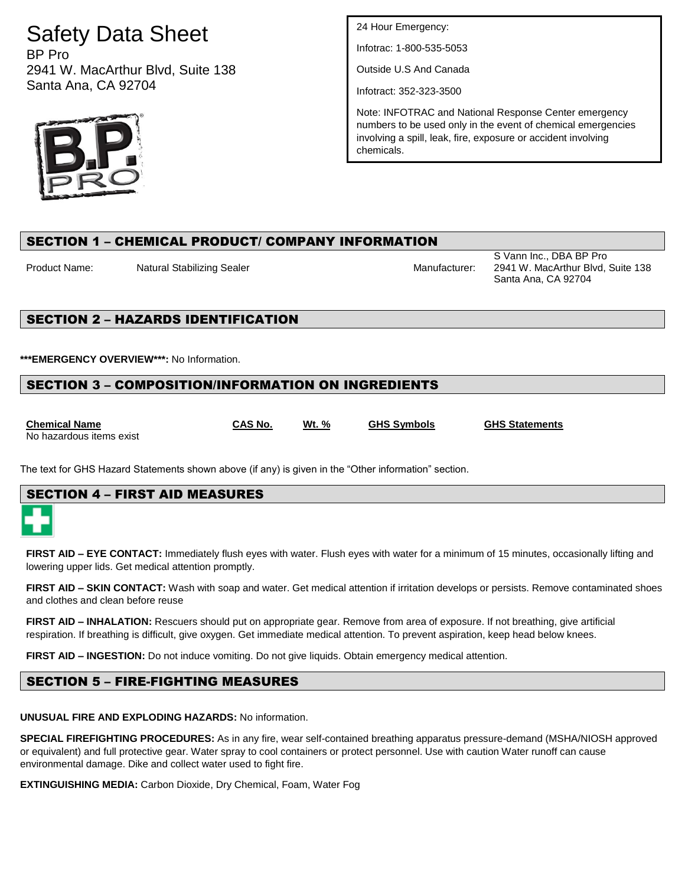# Safety Data Sheet

BP Pro 2941 W. MacArthur Blvd, Suite 138 Santa Ana, CA 92704



24 Hour Emergency:

Infotrac: 1-800-535-5053

Outside U.S And Canada

Infotract: 352-323-3500

Note: INFOTRAC and National Response Center emergency numbers to be used only in the event of chemical emergencies involving a spill, leak, fire, exposure or accident involving chemicals.

# SECTION 1 – CHEMICAL PRODUCT/ COMPANY INFORMATION

Product Name: Natural Stabilizing Sealer Manufacturer: Manufacturer:

S Vann Inc., DBA BP Pro 2941 W. MacArthur Blvd, Suite 138 Santa Ana, CA 92704

# SECTION 2 – HAZARDS IDENTIFICATION

**\*\*\*EMERGENCY OVERVIEW\*\*\*:** No Information.

# SECTION 3 – COMPOSITION/INFORMATION ON INGREDIENTS

**Chemical Name CAS No. Wt. % GHS Symbols GHS Statements** No hazardous items exist

The text for GHS Hazard Statements shown above (if any) is given in the "Other information" section.

# SECTION 4 – FIRST AID MEASURES

**FIRST AID – EYE CONTACT:** Immediately flush eyes with water. Flush eyes with water for a minimum of 15 minutes, occasionally lifting and lowering upper lids. Get medical attention promptly.

**FIRST AID – SKIN CONTACT:** Wash with soap and water. Get medical attention if irritation develops or persists. Remove contaminated shoes and clothes and clean before reuse

**FIRST AID – INHALATION:** Rescuers should put on appropriate gear. Remove from area of exposure. If not breathing, give artificial respiration. If breathing is difficult, give oxygen. Get immediate medical attention. To prevent aspiration, keep head below knees.

**FIRST AID – INGESTION:** Do not induce vomiting. Do not give liquids. Obtain emergency medical attention.

# SECTION 5 – FIRE-FIGHTING MEASURES

**UNUSUAL FIRE AND EXPLODING HAZARDS:** No information.

**SPECIAL FIREFIGHTING PROCEDURES:** As in any fire, wear self-contained breathing apparatus pressure-demand (MSHA/NIOSH approved or equivalent) and full protective gear. Water spray to cool containers or protect personnel. Use with caution Water runoff can cause environmental damage. Dike and collect water used to fight fire.

**EXTINGUISHING MEDIA:** Carbon Dioxide, Dry Chemical, Foam, Water Fog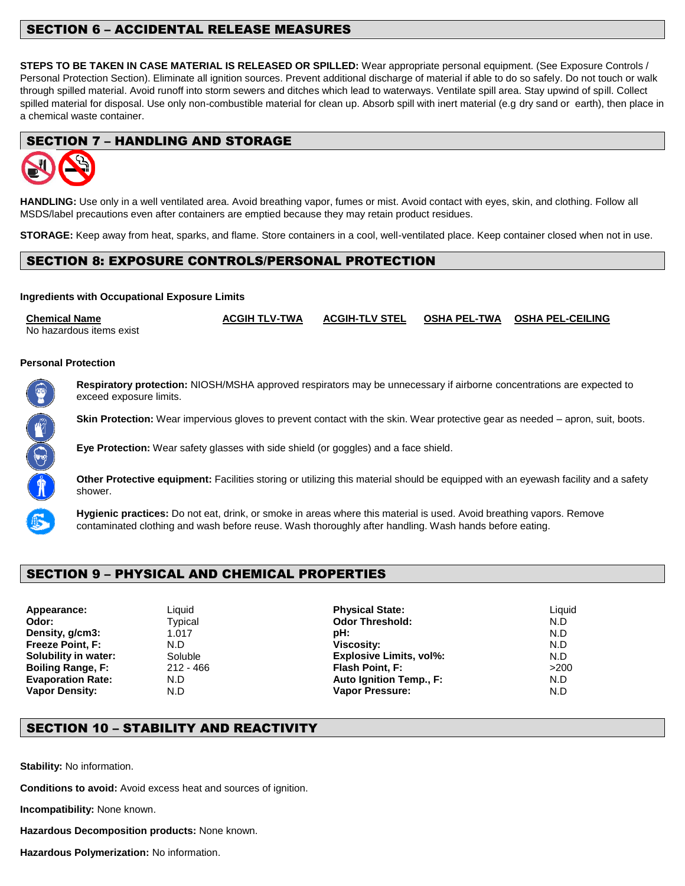## SECTION 6 – ACCIDENTAL RELEASE MEASURES

**STEPS TO BE TAKEN IN CASE MATERIAL IS RELEASED OR SPILLED:** Wear appropriate personal equipment. (See Exposure Controls / Personal Protection Section). Eliminate all ignition sources. Prevent additional discharge of material if able to do so safely. Do not touch or walk through spilled material. Avoid runoff into storm sewers and ditches which lead to waterways. Ventilate spill area. Stay upwind of spill. Collect spilled material for disposal. Use only non-combustible material for clean up. Absorb spill with inert material (e.g dry sand or earth), then place in a chemical waste container.

#### SECTION 7 – HANDLING AND STORAGE



**HANDLING:** Use only in a well ventilated area. Avoid breathing vapor, fumes or mist. Avoid contact with eyes, skin, and clothing. Follow all MSDS/label precautions even after containers are emptied because they may retain product residues.

**STORAGE:** Keep away from heat, sparks, and flame. Store containers in a cool, well-ventilated place. Keep container closed when not in use.

#### SECTION 8: EXPOSURE CONTROLS/PERSONAL PROTECTION

#### **Ingredients with Occupational Exposure Limits**

**Chemical Name ACGIH TLV-TWA ACGIH-TLV STEL OSHA PEL-TWA OSHA PEL-CEILING** No hazardous items exist

#### **Personal Protection**



**Respiratory protection:** NIOSH/MSHA approved respirators may be unnecessary if airborne concentrations are expected to exceed exposure limits.

**Skin Protection:** Wear impervious gloves to prevent contact with the skin. Wear protective gear as needed – apron, suit, boots.

**Eye Protection:** Wear safety glasses with side shield (or goggles) and a face shield.

**Other Protective equipment:** Facilities storing or utilizing this material should be equipped with an eyewash facility and a safety shower.



**Hygienic practices:** Do not eat, drink, or smoke in areas where this material is used. Avoid breathing vapors. Remove contaminated clothing and wash before reuse. Wash thoroughly after handling. Wash hands before eating.

# SECTION 9 – PHYSICAL AND CHEMICAL PROPERTIES

**Appearance:** Liquid **Physical State:** Liquid **Odor:** Typical **Odor Threshold:** N.D **Density, g/cm3:** 1.017 **pH:** N.D **Freeze Point, F:** N.D **Viscosity:** N.D **Soluble 19. In the Soluble in Water Soluble 19. In the Explosive Limits, vol%:** N.D. **Boiling Range, F:** 212 - 466 **Flash Point, F:** >200 **Evaporation Rate:** N.D **Auto Ignition Temp., F:** N.D **Vapor Density:** N.D **Vapor Pressure:** N.D

# SECTION 10 – STABILITY AND REACTIVITY

**Stability:** No information.

**Conditions to avoid:** Avoid excess heat and sources of ignition.

**Incompatibility:** None known.

**Hazardous Decomposition products:** None known.

**Hazardous Polymerization:** No information.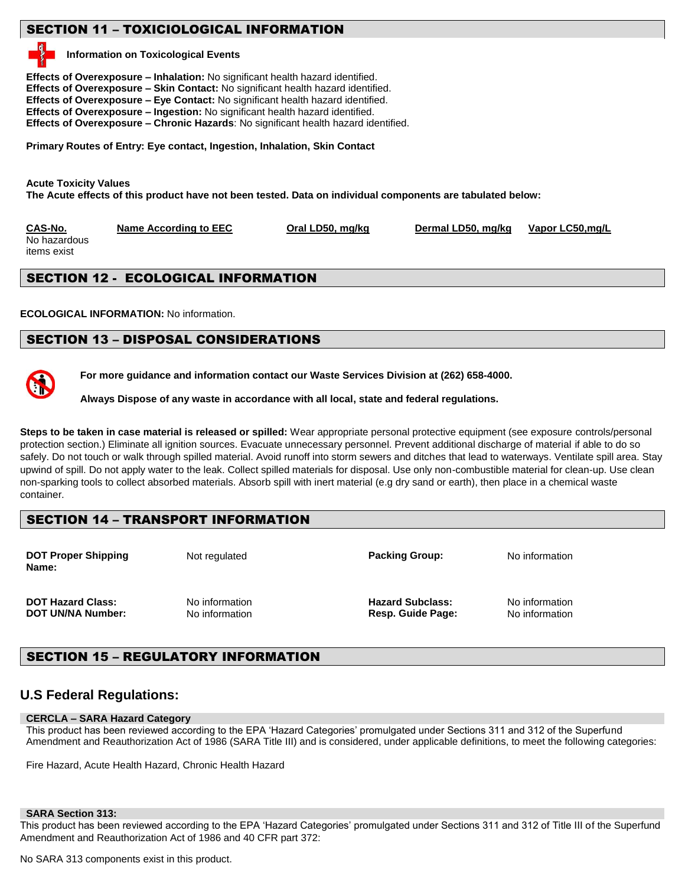# SECTION 11 – TOXICIOLOGICAL INFORMATION

#### **Information on Toxicological Events**

**Effects of Overexposure – Inhalation:** No significant health hazard identified. **Effects of Overexposure – Skin Contact:** No significant health hazard identified. **Effects of Overexposure – Eye Contact:** No significant health hazard identified. **Effects of Overexposure – Ingestion:** No significant health hazard identified. **Effects of Overexposure – Chronic Hazards**: No significant health hazard identified.

**Primary Routes of Entry: Eye contact, Ingestion, Inhalation, Skin Contact** 

**Acute Toxicity Values The Acute effects of this product have not been tested. Data on individual components are tabulated below:** 

**CAS-No. Name According to EEC Oral LD50, mg/kg Dermal LD50, mg/kg Vapor LC50,mg/L**

No hazardous items exist

# SECTION 12 - ECOLOGICAL INFORMATION

**ECOLOGICAL INFORMATION:** No information.

#### SECTION 13 – DISPOSAL CONSIDERATIONS



**For more guidance and information contact our Waste Services Division at (262) 658-4000.**

**Always Dispose of any waste in accordance with all local, state and federal regulations.** 

**Steps to be taken in case material is released or spilled:** Wear appropriate personal protective equipment (see exposure controls/personal protection section.) Eliminate all ignition sources. Evacuate unnecessary personnel. Prevent additional discharge of material if able to do so safely. Do not touch or walk through spilled material. Avoid runoff into storm sewers and ditches that lead to waterways. Ventilate spill area. Stay upwind of spill. Do not apply water to the leak. Collect spilled materials for disposal. Use only non-combustible material for clean-up. Use clean non-sparking tools to collect absorbed materials. Absorb spill with inert material (e.g dry sand or earth), then place in a chemical waste container.

#### SECTION 14 – TRANSPORT INFORMATION

| <b>DOT Proper Shipping</b><br>Name: | Not regulated  | <b>Packing Group:</b>   | No information |
|-------------------------------------|----------------|-------------------------|----------------|
| <b>DOT Hazard Class:</b>            | No information | <b>Hazard Subclass:</b> | No information |
| DOT UN/NA Number:                   | No information | Resp. Guide Page:       | No information |

# SECTION 15 – REGULATORY INFORMATION

# **U.S Federal Regulations:**

#### **CERCLA – SARA Hazard Category**

This product has been reviewed according to the EPA 'Hazard Categories' promulgated under Sections 311 and 312 of the Superfund Amendment and Reauthorization Act of 1986 (SARA Title III) and is considered, under applicable definitions, to meet the following categories:

Fire Hazard, Acute Health Hazard, Chronic Health Hazard

#### **SARA Section 313:**

This product has been reviewed according to the EPA 'Hazard Categories' promulgated under Sections 311 and 312 of Title III of the Superfund Amendment and Reauthorization Act of 1986 and 40 CFR part 372:

No SARA 313 components exist in this product.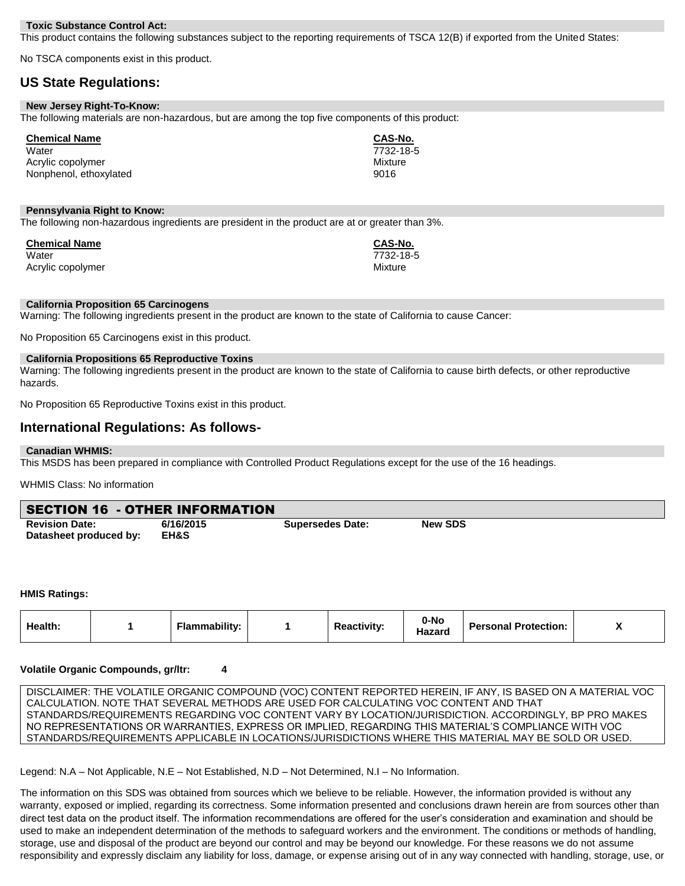#### **Toxic Substance Control Act:**

This product contains the following substances subject to the reporting requirements of TSCA 12(B) if exported from the United States:

No TSCA components exist in this product.

# **US State Regulations:**

| New Jersey Right-To-Know: |                                                                                                   |
|---------------------------|---------------------------------------------------------------------------------------------------|
|                           | The following materials are non-hazardous, but are among the top five components of this product: |

| <b>Chemical Name</b>   | CAS-No.   |
|------------------------|-----------|
| Water                  | 7732-18-5 |
| Acrylic copolymer      | Mixture   |
| Nonphenol, ethoxylated | 9016      |

#### **Pennsylvania Right to Know:**

The following non-hazardous ingredients are president in the product are at or greater than 3%.

| <b>Chemical Name</b> | CAS-No.   |
|----------------------|-----------|
| Water                | 7732-18-5 |
| Acrylic copolymer    | Mixture   |

#### **California Proposition 65 Carcinogens**

Warning: The following ingredients present in the product are known to the state of California to cause Cancer:

No Proposition 65 Carcinogens exist in this product.

#### **California Propositions 65 Reproductive Toxins**

Warning: The following ingredients present in the product are known to the state of California to cause birth defects, or other reproductive hazards.

No Proposition 65 Reproductive Toxins exist in this product.

#### **International Regulations: As follows-**

#### **Canadian WHMIS:**

This MSDS has been prepared in compliance with Controlled Product Regulations except for the use of the 16 headings.

WHMIS Class: No information

| <b>SECTION 16 - OTHER INFORMATION</b> |           |                         |                |  |
|---------------------------------------|-----------|-------------------------|----------------|--|
| <b>Revision Date:</b>                 | 6/16/2015 | <b>Supersedes Date:</b> | <b>New SDS</b> |  |
| Datasheet produced by:                | EH&S      |                         |                |  |

#### **HMIS Ratings:**

| <b>Health:</b> |  | Flammabilitv: |  | <b>Reactivity:</b> | 0-No<br>Hazarc | <b>Personal Protection:</b> |  |
|----------------|--|---------------|--|--------------------|----------------|-----------------------------|--|
|----------------|--|---------------|--|--------------------|----------------|-----------------------------|--|

#### **Volatile Organic Compounds, gr/ltr: 4**

DISCLAIMER: THE VOLATILE ORGANIC COMPOUND (VOC) CONTENT REPORTED HEREIN, IF ANY, IS BASED ON A MATERIAL VOC CALCULATION. NOTE THAT SEVERAL METHODS ARE USED FOR CALCULATING VOC CONTENT AND THAT STANDARDS/REQUIREMENTS REGARDING VOC CONTENT VARY BY LOCATION/JURISDICTION. ACCORDINGLY, BP PRO MAKES NO REPRESENTATIONS OR WARRANTIES, EXPRESS OR IMPLIED, REGARDING THIS MATERIAL'S COMPLIANCE WITH VOC STANDARDS/REQUIREMENTS APPLICABLE IN LOCATIONS/JURISDICTIONS WHERE THIS MATERIAL MAY BE SOLD OR USED.

Legend: N.A – Not Applicable, N.E – Not Established, N.D – Not Determined, N.I – No Information.

The information on this SDS was obtained from sources which we believe to be reliable. However, the information provided is without any warranty, exposed or implied, regarding its correctness. Some information presented and conclusions drawn herein are from sources other than direct test data on the product itself. The information recommendations are offered for the user's consideration and examination and should be used to make an independent determination of the methods to safeguard workers and the environment. The conditions or methods of handling, storage, use and disposal of the product are beyond our control and may be beyond our knowledge. For these reasons we do not assume responsibility and expressly disclaim any liability for loss, damage, or expense arising out of in any way connected with handling, storage, use, or